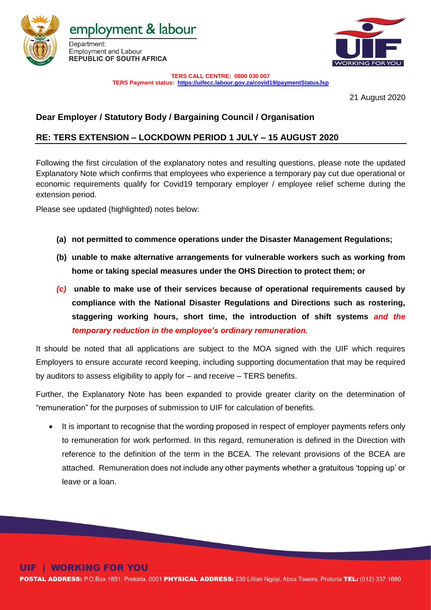

employment & labour





**TERS CALL CENTRE: 0800 030 007**

**TERS Payment status:<https://uifecc.labour.gov.za/covid19/paymentStatusJsp>**

21 August 2020

## **Dear Employer / Statutory Body / Bargaining Council / Organisation**

### **RE: TERS EXTENSION – LOCKDOWN PERIOD 1 JULY – 15 AUGUST 2020**

Following the first circulation of the explanatory notes and resulting questions, please note the updated Explanatory Note which confirms that employees who experience a temporary pay cut due operational or economic requirements qualify for Covid19 temporary employer / employee relief scheme during the extension period.

Please see updated (highlighted) notes below:

- **(a) not permitted to commence operations under the Disaster Management Regulations;**
- **(b) unable to make alternative arrangements for vulnerable workers such as working from home or taking special measures under the OHS Direction to protect them; or**
- *(c)* **unable to make use of their services because of operational requirements caused by compliance with the National Disaster Regulations and Directions such as rostering, staggering working hours, short time, the introduction of shift systems** *and the temporary reduction in the employee's ordinary remuneration.*

It should be noted that all applications are subject to the MOA signed with the UIF which requires Employers to ensure accurate record keeping, including supporting documentation that may be required by auditors to assess eligibility to apply for – and receive – TERS benefits.

Further, the Explanatory Note has been expanded to provide greater clarity on the determination of "remuneration" for the purposes of submission to UIF for calculation of benefits.

• It is important to recognise that the wording proposed in respect of employer payments refers only to remuneration for work performed. In this regard, remuneration is defined in the Direction with reference to the definition of the term in the BCEA. The relevant provisions of the BCEA are attached. Remuneration does not include any other payments whether a gratuitous 'topping up' or leave or a loan.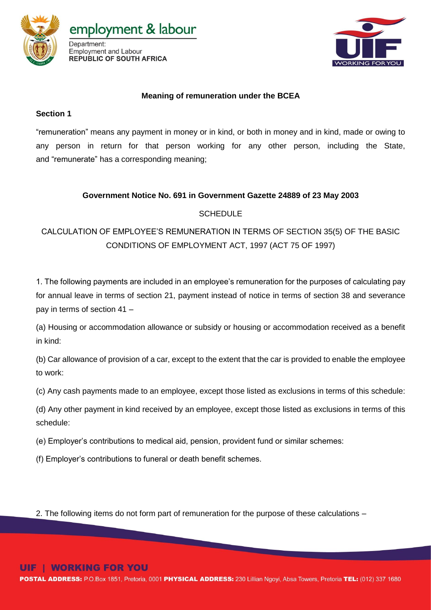

employment & labour Department: **Employment and Labour** 

**REPUBLIC OF SOUTH AFRICA** 



#### **Meaning of remuneration under the BCEA**

#### **Section 1**

"remuneration" means any payment in money or in kind, or both in money and in kind, made or owing to any person in return for that person working for any other person, including the State, and "remunerate" has a corresponding meaning;

#### **Government Notice No. 691 in Government Gazette 24889 of 23 May 2003**

#### SCHEDULE

# CALCULATION OF EMPLOYEE'S REMUNERATION IN TERMS OF SECTION 35(5) OF THE BASIC CONDITIONS OF EMPLOYMENT ACT, 1997 (ACT 75 OF 1997)

1. The following payments are included in an employee's remuneration for the purposes of calculating pay for annual leave in terms of section 21, payment instead of notice in terms of section 38 and severance pay in terms of section 41 –

(a) Housing or accommodation allowance or subsidy or housing or accommodation received as a benefit in kind:

(b) Car allowance of provision of a car, except to the extent that the car is provided to enable the employee to work:

(c) Any cash payments made to an employee, except those listed as exclusions in terms of this schedule:

(d) Any other payment in kind received by an employee, except those listed as exclusions in terms of this schedule:

(e) Employer's contributions to medical aid, pension, provident fund or similar schemes:

(f) Employer's contributions to funeral or death benefit schemes.

2. The following items do not form part of remuneration for the purpose of these calculations –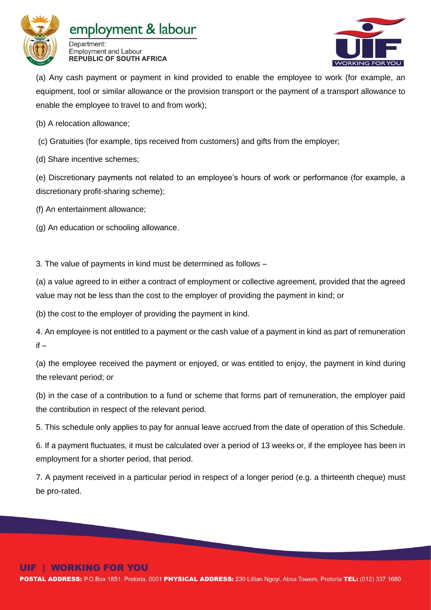

# employment & labour





(a) Any cash payment or payment in kind provided to enable the employee to work (for example, an equipment, tool or similar allowance or the provision transport or the payment of a transport allowance to enable the employee to travel to and from work);

(b) A relocation allowance;

- (c) Gratuities (for example, tips received from customers) and gifts from the employer;
- (d) Share incentive schemes;

(e) Discretionary payments not related to an employee's hours of work or performance (for example, a discretionary profit-sharing scheme);

(f) An entertainment allowance;

(g) An education or schooling allowance.

3. The value of payments in kind must be determined as follows –

(a) a value agreed to in either a contract of employment or collective agreement, provided that the agreed value may not be less than the cost to the employer of providing the payment in kind; or

(b) the cost to the employer of providing the payment in kind.

4. An employee is not entitled to a payment or the cash value of a payment in kind as part of remuneration  $if -$ 

(a) the employee received the payment or enjoyed, or was entitled to enjoy, the payment in kind during the relevant period; or

(b) in the case of a contribution to a fund or scheme that forms part of remuneration, the employer paid the contribution in respect of the relevant period.

5. This schedule only applies to pay for annual leave accrued from the date of operation of this Schedule.

6. If a payment fluctuates, it must be calculated over a period of 13 weeks or, if the employee has been in employment for a shorter period, that period.

7. A payment received in a particular period in respect of a longer period (e.g. a thirteenth cheque) must be pro-rated.

# **WORKING FOR YOU**

POSTAL ADDRESS: P.O.Box 1851, Pretoria, 0001 PHYSICAL ADDRESS: 230 Lillian Ngoyi, Absa Towers, Pretoria TEL: (012) 337 1680